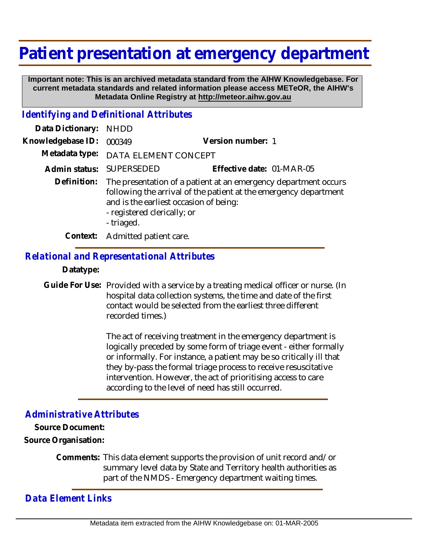# **Patient presentation at emergency department**

 **Important note: This is an archived metadata standard from the AIHW Knowledgebase. For current metadata standards and related information please access METeOR, the AIHW's Metadata Online Registry at http://meteor.aihw.gov.au**

## *Identifying and Definitional Attributes*

| Data Dictionary:  | NHDD                                                                                                                                                                                                                       |                           |
|-------------------|----------------------------------------------------------------------------------------------------------------------------------------------------------------------------------------------------------------------------|---------------------------|
| Knowledgebase ID: | 000349                                                                                                                                                                                                                     | Version number: 1         |
|                   | Metadata type: DATA ELEMENT CONCEPT                                                                                                                                                                                        |                           |
|                   | Admin status: SUPERSEDED                                                                                                                                                                                                   | Effective date: 01-MAR-05 |
| Definition:       | The presentation of a patient at an emergency department occurs<br>following the arrival of the patient at the emergency department<br>and is the earliest occasion of being:<br>- registered clerically; or<br>- triaged. |                           |
| Context:          | Admitted patient care.                                                                                                                                                                                                     |                           |

## *Relational and Representational Attributes*

#### **Datatype:**

Guide For Use: Provided with a service by a treating medical officer or nurse. (In hospital data collection systems, the time and date of the first contact would be selected from the earliest three different recorded times.)

> The act of receiving treatment in the emergency department is logically preceded by some form of triage event - either formally or informally. For instance, a patient may be so critically ill that they by-pass the formal triage process to receive resuscitative intervention. However, the act of prioritising access to care according to the level of need has still occurred.

#### *Administrative Attributes*

**Source Document: Source Organisation:**

> Comments: This data element supports the provision of unit record and/or summary level data by State and Territory health authorities as part of the NMDS - Emergency department waiting times.

*Data Element Links*